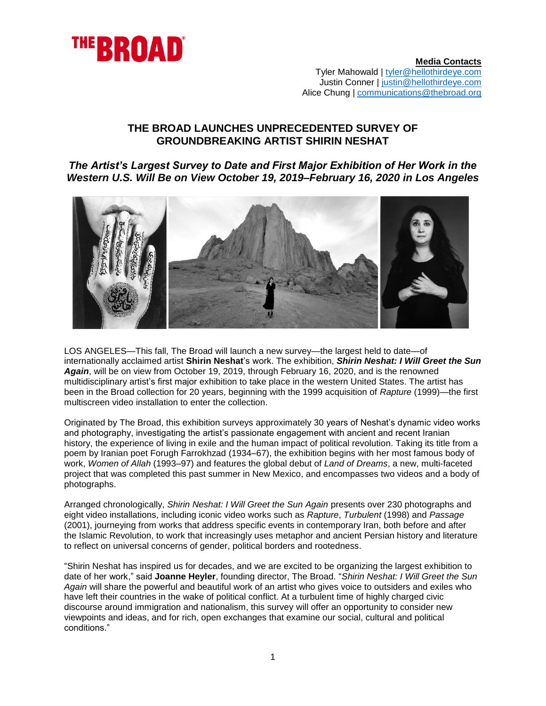

## **THE BROAD LAUNCHES UNPRECEDENTED SURVEY OF GROUNDBREAKING ARTIST SHIRIN NESHAT**

*The Artist's Largest Survey to Date and First Major Exhibition of Her Work in the Western U.S. Will Be on View October 19, 2019–February 16, 2020 in Los Angeles*



LOS ANGELES*—*This fall, The Broad will launch a new survey—the largest held to date—of internationally acclaimed artist **Shirin Neshat**'s work. The exhibition, *Shirin Neshat: I Will Greet the Sun Again*, will be on view from October 19, 2019, through February 16, 2020, and is the renowned multidisciplinary artist's first major exhibition to take place in the western United States. The artist has been in the Broad collection for 20 years, beginning with the 1999 acquisition of *Rapture* (1999)—the first multiscreen video installation to enter the collection.

Originated by The Broad, this exhibition surveys approximately 30 years of Neshat's dynamic video works and photography, investigating the artist's passionate engagement with ancient and recent Iranian history, the experience of living in exile and the human impact of political revolution. Taking its title from a poem by Iranian poet Forugh Farrokhzad (1934–67), the exhibition begins with her most famous body of work, *Women of Allah* (1993–97) and features the global debut of *Land of Dreams*, a new, multi-faceted project that was completed this past summer in New Mexico, and encompasses two videos and a body of photographs.

Arranged chronologically, *Shirin Neshat: I Will Greet the Sun Again* presents over 230 photographs and eight video installations, including iconic video works such as *Rapture*, *Turbulent* (1998) and *Passage* (2001), journeying from works that address specific events in contemporary Iran, both before and after the Islamic Revolution, to work that increasingly uses metaphor and ancient Persian history and literature to reflect on universal concerns of gender, political borders and rootedness.

"Shirin Neshat has inspired us for decades, and we are excited to be organizing the largest exhibition to date of her work," said **Joanne Heyler**, founding director, The Broad. "*Shirin Neshat: I Will Greet the Sun Again* will share the powerful and beautiful work of an artist who gives voice to outsiders and exiles who have left their countries in the wake of political conflict. At a turbulent time of highly charged civic discourse around immigration and nationalism, this survey will offer an opportunity to consider new viewpoints and ideas, and for rich, open exchanges that examine our social, cultural and political conditions."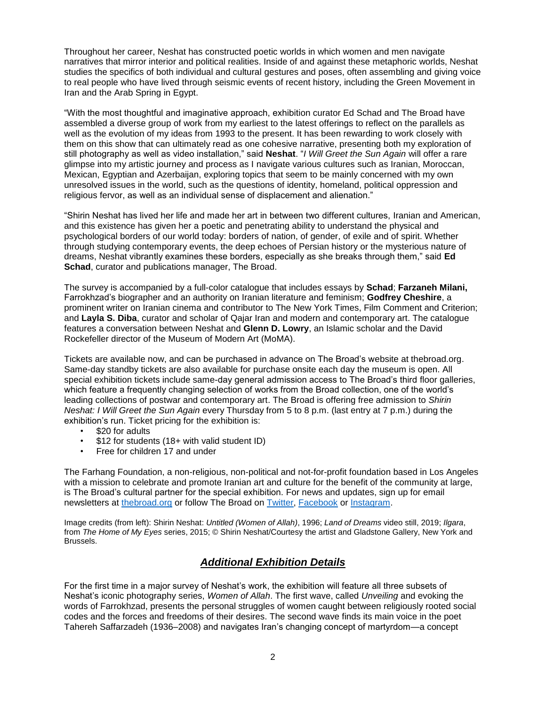Throughout her career, Neshat has constructed poetic worlds in which women and men navigate narratives that mirror interior and political realities. Inside of and against these metaphoric worlds, Neshat studies the specifics of both individual and cultural gestures and poses, often assembling and giving voice to real people who have lived through seismic events of recent history, including the Green Movement in Iran and the Arab Spring in Egypt.

"With the most thoughtful and imaginative approach, exhibition curator Ed Schad and The Broad have assembled a diverse group of work from my earliest to the latest offerings to reflect on the parallels as well as the evolution of my ideas from 1993 to the present. It has been rewarding to work closely with them on this show that can ultimately read as one cohesive narrative, presenting both my exploration of still photography as well as video installation," said **Neshat**. "*I Will Greet the Sun Again* will offer a rare glimpse into my artistic journey and process as I navigate various cultures such as Iranian, Moroccan, Mexican, Egyptian and Azerbaijan, exploring topics that seem to be mainly concerned with my own unresolved issues in the world, such as the questions of identity, homeland, political oppression and religious fervor, as well as an individual sense of displacement and alienation."

"Shirin Neshat has lived her life and made her art in between two different cultures, Iranian and American, and this existence has given her a poetic and penetrating ability to understand the physical and psychological borders of our world today: borders of nation, of gender, of exile and of spirit. Whether through studying contemporary events, the deep echoes of Persian history or the mysterious nature of dreams, Neshat vibrantly examines these borders, especially as she breaks through them," said **Ed Schad**, curator and publications manager, The Broad.

The survey is accompanied by a full-color catalogue that includes essays by **Schad**; **Farzaneh Milani,**  Farrokhzad's biographer and an authority on Iranian literature and feminism; **Godfrey Cheshire**, a prominent writer on Iranian cinema and contributor to The New York Times, Film Comment and Criterion; and **Layla S. Diba**, curator and scholar of Qajar Iran and modern and contemporary art. The catalogue features a conversation between Neshat and **Glenn D. Lowry**, an Islamic scholar and the David Rockefeller director of the Museum of Modern Art (MoMA).

Tickets are available now, and can be purchased in advance on The Broad's website at thebroad.org. Same-day standby tickets are also available for purchase onsite each day the museum is open. All special exhibition tickets include same-day general admission access to The Broad's third floor galleries, which feature a frequently changing selection of works from the Broad collection, one of the world's leading collections of postwar and contemporary art. The Broad is offering free admission to *Shirin Neshat: I Will Greet the Sun Again* every Thursday from 5 to 8 p.m. (last entry at 7 p.m.) during the exhibition's run. Ticket pricing for the exhibition is:

- \$20 for adults
- \$12 for students (18+ with valid student ID)
- Free for children 17 and under

The Farhang Foundation, a non-religious, non-political and not-for-profit foundation based in Los Angeles with a mission to celebrate and promote Iranian art and culture for the benefit of the community at large, is The Broad's cultural partner for the special exhibition. For news and updates, sign up for email newsletters at [thebroad.org](http://www.thebroad.org/) or follow The Broad on [Twitter,](http://www.twitter.com/thebroad) [Facebook](http://www.facebook.com/thebroadmuseum) or [Instagram.](http://www.instagram.com/thebroadmuseum)

Image credits (from left): Shirin Neshat: *Untitled (Women of Allah)*, 1996; *Land of Dreams* video still, 2019; *Ilgara*, from *The Home of My Eyes* series, 2015; © Shirin Neshat/Courtesy the artist and Gladstone Gallery, New York and Brussels.

# *Additional Exhibition Details*

For the first time in a major survey of Neshat's work, the exhibition will feature all three subsets of Neshat's iconic photography series, *Women of Allah*. The first wave, called *Unveiling* and evoking the words of Farrokhzad, presents the personal struggles of women caught between religiously rooted social codes and the forces and freedoms of their desires. The second wave finds its main voice in the poet Tahereh Saffarzadeh (1936–2008) and navigates Iran's changing concept of martyrdom—a concept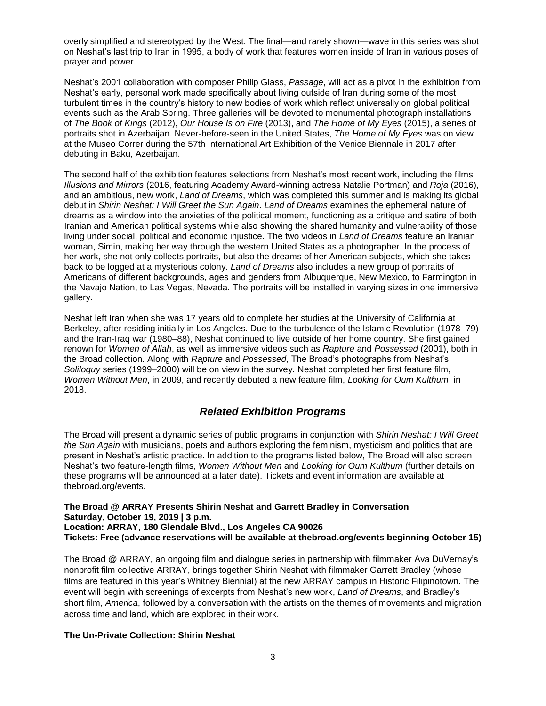overly simplified and stereotyped by the West. The final—and rarely shown—wave in this series was shot on Neshat's last trip to Iran in 1995, a body of work that features women inside of Iran in various poses of prayer and power.

Neshat's 2001 collaboration with composer Philip Glass, *Passage*, will act as a pivot in the exhibition from Neshat's early, personal work made specifically about living outside of Iran during some of the most turbulent times in the country's history to new bodies of work which reflect universally on global political events such as the Arab Spring. Three galleries will be devoted to monumental photograph installations of *The Book of Kings* (2012), *Our House Is on Fire* (2013), and *The Home of My Eyes* (2015), a series of portraits shot in Azerbaijan. Never-before-seen in the United States, *The Home of My Eyes* was on view at the Museo Correr during the 57th International Art Exhibition of the Venice Biennale in 2017 after debuting in Baku, Azerbaijan.

The second half of the exhibition features selections from Neshat's most recent work, including the films *Illusions and Mirrors* (2016, featuring Academy Award-winning actress Natalie Portman) and *Roja* (2016), and an ambitious, new work, *Land of Dreams*, which was completed this summer and is making its global debut in *Shirin Neshat: I Will Greet the Sun Again*. *Land of Dreams* examines the ephemeral nature of dreams as a window into the anxieties of the political moment, functioning as a critique and satire of both Iranian and American political systems while also showing the shared humanity and vulnerability of those living under social, political and economic injustice. The two videos in *Land of Dreams* feature an Iranian woman, Simin, making her way through the western United States as a photographer. In the process of her work, she not only collects portraits, but also the dreams of her American subjects, which she takes back to be logged at a mysterious colony. *Land of Dreams* also includes a new group of portraits of Americans of different backgrounds, ages and genders from Albuquerque, New Mexico, to Farmington in the Navajo Nation, to Las Vegas, Nevada. The portraits will be installed in varying sizes in one immersive gallery.

Neshat left Iran when she was 17 years old to complete her studies at the University of California at Berkeley, after residing initially in Los Angeles. Due to the turbulence of the Islamic Revolution (1978–79) and the Iran-Iraq war (1980–88), Neshat continued to live outside of her home country. She first gained renown for *Women of Allah*, as well as immersive videos such as *Rapture* and *Possessed* (2001), both in the Broad collection. Along with *Rapture* and *Possessed*, The Broad's photographs from Neshat's *Soliloquy* series (1999–2000) will be on view in the survey. Neshat completed her first feature film, *Women Without Men*, in 2009, and recently debuted a new feature film, *Looking for Oum Kulthum*, in 2018.

## *Related Exhibition Programs*

The Broad will present a dynamic series of public programs in conjunction with *Shirin Neshat: I Will Greet the Sun Again* with musicians, poets and authors exploring the feminism, mysticism and politics that are present in Neshat's artistic practice. In addition to the programs listed below, The Broad will also screen Neshat's two feature-length films, *Women Without Men* and *Looking for Oum Kulthum* (further details on these programs will be announced at a later date). Tickets and event information are available at thebroad.org/events.

#### **The Broad @ ARRAY Presents Shirin Neshat and Garrett Bradley in Conversation Saturday, October 19, 2019 | 3 p.m. Location: ARRAY, 180 Glendale Blvd., Los Angeles CA 90026 Tickets: Free (advance reservations will be available at thebroad.org/events beginning October 15)**

The Broad @ ARRAY, an ongoing film and dialogue series in partnership with filmmaker Ava DuVernay's nonprofit film collective ARRAY, brings together Shirin Neshat with filmmaker Garrett Bradley (whose films are featured in this year's Whitney Biennial) at the new ARRAY campus in Historic Filipinotown. The event will begin with screenings of excerpts from Neshat's new work, *Land of Dreams*, and Bradley's short film, *America*, followed by a conversation with the artists on the themes of movements and migration across time and land, which are explored in their work.

## **The Un-Private Collection: Shirin Neshat**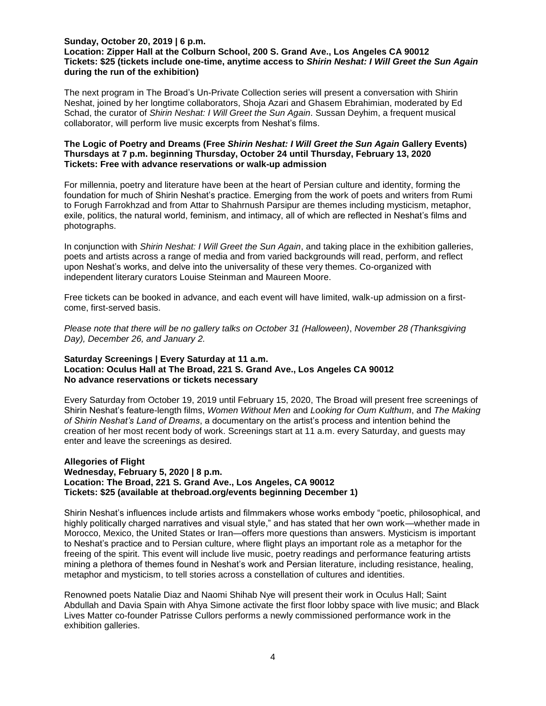### **Sunday, October 20, 2019 | 6 p.m.**

### **Location: Zipper Hall at the Colburn School, 200 S. Grand Ave., Los Angeles CA 90012 Tickets: \$25 (tickets include one-time, anytime access to** *Shirin Neshat: I Will Greet the Sun Again* **during the run of the exhibition)**

The next program in The Broad's Un-Private Collection series will present a conversation with Shirin Neshat, joined by her longtime collaborators, Shoja Azari and Ghasem Ebrahimian, moderated by Ed Schad, the curator of *Shirin Neshat: I Will Greet the Sun Again*. Sussan Deyhim, a frequent musical collaborator, will perform live music excerpts from Neshat's films.

#### **The Logic of Poetry and Dreams (Free** *Shirin Neshat: I Will Greet the Sun Again* **Gallery Events) Thursdays at 7 p.m. beginning Thursday, October 24 until Thursday, February 13, 2020 Tickets: Free with advance reservations or walk-up admission**

For millennia, poetry and literature have been at the heart of Persian culture and identity, forming the foundation for much of Shirin Neshat's practice. Emerging from the work of poets and writers from Rumi to Forugh Farrokhzad and from Attar to Shahrnush Parsipur are themes including mysticism, metaphor, exile, politics, the natural world, feminism, and intimacy, all of which are reflected in Neshat's films and photographs.

In conjunction with *Shirin Neshat: I Will Greet the Sun Again*, and taking place in the exhibition galleries, poets and artists across a range of media and from varied backgrounds will read, perform, and reflect upon Neshat's works, and delve into the universality of these very themes. Co-organized with independent literary curators Louise Steinman and Maureen Moore.

Free tickets can be booked in advance, and each event will have limited, walk-up admission on a firstcome, first-served basis.

*Please note that there will be no gallery talks on October 31 (Halloween)*, *November 28 (Thanksgiving Day), December 26, and January 2.* 

#### **Saturday Screenings | Every Saturday at 11 a.m. Location: Oculus Hall at The Broad, 221 S. Grand Ave., Los Angeles CA 90012 No advance reservations or tickets necessary**

Every Saturday from October 19, 2019 until February 15, 2020, The Broad will present free screenings of Shirin Neshat's feature-length films, *Women Without Men* and *Looking for Oum Kulthum*, and *The Making of Shirin Neshat's Land of Dreams*, a documentary on the artist's process and intention behind the creation of her most recent body of work. Screenings start at 11 a.m. every Saturday, and guests may enter and leave the screenings as desired.

### **Allegories of Flight Wednesday, February 5, 2020 | 8 p.m. Location: The Broad, 221 S. Grand Ave., Los Angeles, CA 90012 Tickets: \$25 (available at thebroad.org/events beginning December 1)**

Shirin Neshat's influences include artists and filmmakers whose works embody "poetic, philosophical, and highly politically charged narratives and visual style," and has stated that her own work—whether made in Morocco, Mexico, the United States or Iran—offers more questions than answers. Mysticism is important to Neshat's practice and to Persian culture, where flight plays an important role as a metaphor for the freeing of the spirit. This event will include live music, poetry readings and performance featuring artists mining a plethora of themes found in Neshat's work and Persian literature, including resistance, healing, metaphor and mysticism, to tell stories across a constellation of cultures and identities.

Renowned poets Natalie Diaz and Naomi Shihab Nye will present their work in Oculus Hall; Saint Abdullah and Davia Spain with Ahya Simone activate the first floor lobby space with live music; and Black Lives Matter co-founder Patrisse Cullors performs a newly commissioned performance work in the exhibition galleries.